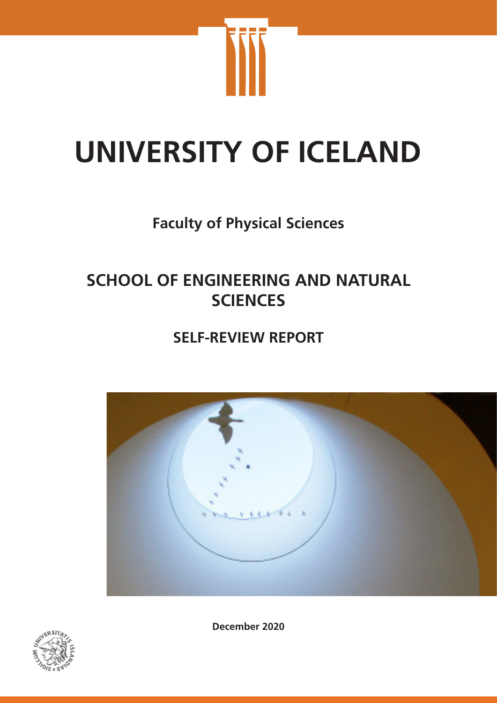

# **UNIVERSITY OF ICELAND**

# **Faculty of Physical Sciences**

# **SCHOOL OF ENGINEERING AND NATURAL SCIENCES**

# **SELF-REVIEW REPORT**





**December 2020**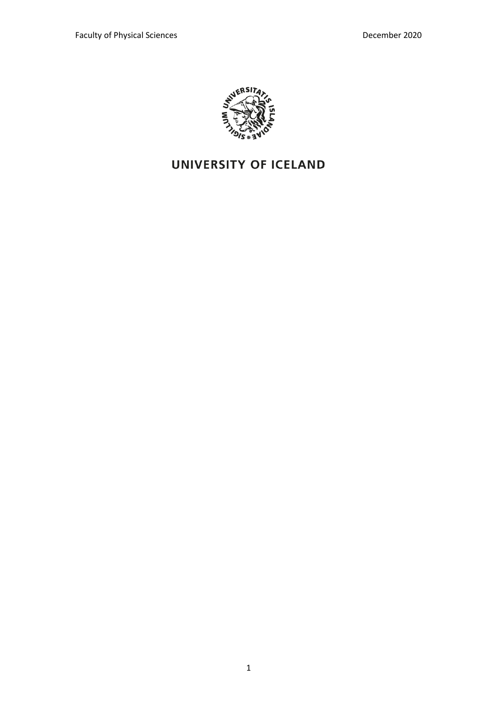

# **UNIVERSITY OF ICELAND**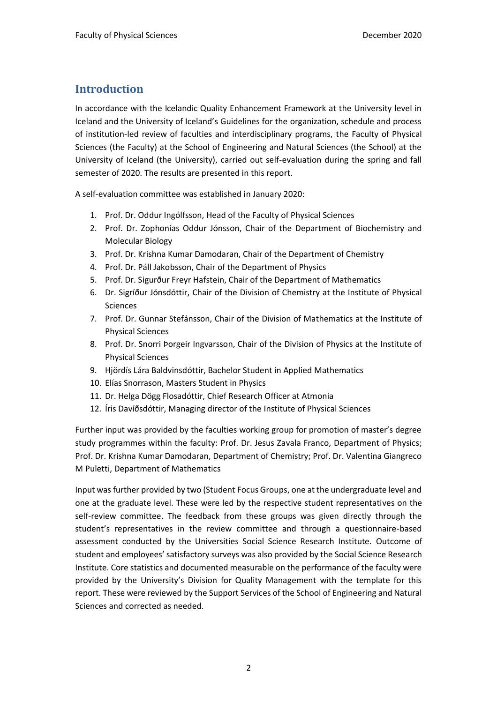## **Introduction**

In accordance with the Icelandic Quality Enhancement Framework at the University level in Iceland and the University of Iceland's Guidelines for the organization, schedule and process of institution-led review of faculties and interdisciplinary programs, the Faculty of Physical Sciences (the Faculty) at the School of Engineering and Natural Sciences (the School) at the University of Iceland (the University), carried out self-evaluation during the spring and fall semester of 2020. The results are presented in this report.

A self-evaluation committee was established in January 2020:

- 1. Prof. Dr. Oddur Ingólfsson, Head of the Faculty of Physical Sciences
- 2. Prof. Dr. Zophonías Oddur Jónsson, Chair of the Department of Biochemistry and Molecular Biology
- 3. Prof. Dr. Krishna Kumar Damodaran, Chair of the Department of Chemistry
- 4. Prof. Dr. Páll Jakobsson, Chair of the Department of Physics
- 5. Prof. Dr. Sigurður Freyr Hafstein, Chair of the Department of Mathematics
- 6. Dr. Sigríður Jónsdóttir, Chair of the Division of Chemistry at the Institute of Physical Sciences
- 7. Prof. Dr. Gunnar Stefánsson, Chair of the Division of Mathematics at the Institute of Physical Sciences
- 8. Prof. Dr. Snorri Þorgeir Ingvarsson, Chair of the Division of Physics at the Institute of Physical Sciences
- 9. Hjördís Lára Baldvinsdóttir, Bachelor Student in Applied Mathematics
- 10. Elías Snorrason, Masters Student in Physics
- 11. Dr. Helga Dögg Flosadóttir, Chief Research Officer at Atmonia
- 12. Íris Davíðsdóttir, Managing director of the Institute of Physical Sciences

Further input was provided by the faculties working group for promotion of master's degree study programmes within the faculty: Prof. Dr. Jesus Zavala Franco, Department of Physics; Prof. Dr. Krishna Kumar Damodaran, Department of Chemistry; Prof. Dr. Valentina Giangreco M Puletti, Department of Mathematics

Input was further provided by two (Student Focus Groups, one at the undergraduate level and one at the graduate level. These were led by the respective student representatives on the self-review committee. The feedback from these groups was given directly through the student's representatives in the review committee and through a questionnaire-based assessment conducted by the Universities Social Science Research Institute. Outcome of student and employees' satisfactory surveys was also provided by the Social Science Research Institute. Core statistics and documented measurable on the performance of the faculty were provided by the University's Division for Quality Management with the template for this report. These were reviewed by the Support Services of the School of Engineering and Natural Sciences and corrected as needed.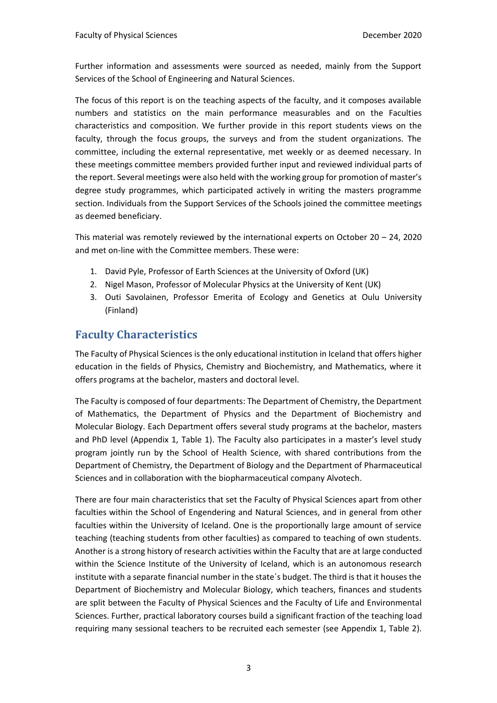Further information and assessments were sourced as needed, mainly from the Support Services of the School of Engineering and Natural Sciences.

The focus of this report is on the teaching aspects of the faculty, and it composes available numbers and statistics on the main performance measurables and on the Faculties characteristics and composition. We further provide in this report students views on the faculty, through the focus groups, the surveys and from the student organizations. The committee, including the external representative, met weekly or as deemed necessary. In these meetings committee members provided further input and reviewed individual parts of the report. Several meetings were also held with the working group for promotion of master's degree study programmes, which participated actively in writing the masters programme section. Individuals from the Support Services of the Schools joined the committee meetings as deemed beneficiary.

This material was remotely reviewed by the international experts on October 20 – 24, 2020 and met on-line with the Committee members. These were:

- 1. David Pyle, Professor of Earth Sciences at the University of Oxford (UK)
- 2. Nigel Mason, Professor of Molecular Physics at the University of Kent (UK)
- 3. Outi Savolainen, Professor Emerita of Ecology and Genetics at Oulu University (Finland)

## **Faculty Characteristics**

The Faculty of Physical Sciences is the only educational institution in Iceland that offers higher education in the fields of Physics, Chemistry and Biochemistry, and Mathematics, where it offers programs at the bachelor, masters and doctoral level.

The Faculty is composed of four departments: The Department of Chemistry, the Department of Mathematics, the Department of Physics and the Department of Biochemistry and Molecular Biology. Each Department offers several study programs at the bachelor, masters and PhD level (Appendix 1, Table 1). The Faculty also participates in a master's level study program jointly run by the School of Health Science, with shared contributions from the Department of Chemistry, the Department of Biology and the Department of Pharmaceutical Sciences and in collaboration with the biopharmaceutical company Alvotech.

There are four main characteristics that set the Faculty of Physical Sciences apart from other faculties within the School of Engendering and Natural Sciences, and in general from other faculties within the University of Iceland. One is the proportionally large amount of service teaching (teaching students from other faculties) as compared to teaching of own students. Another is a strong history of research activities within the Faculty that are at large conducted within the Science Institute of the University of Iceland, which is an autonomous research institute with a separate financial number in the state´s budget. The third is that it houses the Department of Biochemistry and Molecular Biology, which teachers, finances and students are split between the Faculty of Physical Sciences and the Faculty of Life and Environmental Sciences. Further, practical laboratory courses build a significant fraction of the teaching load requiring many sessional teachers to be recruited each semester (see Appendix 1, Table 2).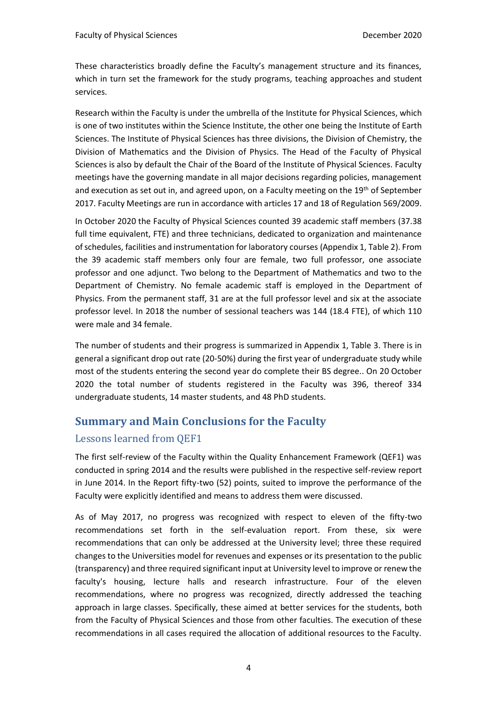These characteristics broadly define the Faculty's management structure and its finances, which in turn set the framework for the study programs, teaching approaches and student services.

Research within the Faculty is under the umbrella of the Institute for Physical Sciences, which is one of two institutes within the Science Institute, the other one being the Institute of Earth Sciences. The Institute of Physical Sciences has three divisions, the Division of Chemistry, the Division of Mathematics and the Division of Physics. The Head of the Faculty of Physical Sciences is also by default the Chair of the Board of the Institute of Physical Sciences. Faculty meetings have the governing mandate in all major decisions regarding policies, management and execution as set out in, and agreed upon, on a Faculty meeting on the 19<sup>th</sup> of September 2017. Faculty Meetings are run in accordance with articles 17 and 18 of Regulation 569/2009.

In October 2020 the Faculty of Physical Sciences counted 39 academic staff members (37.38 full time equivalent, FTE) and three technicians, dedicated to organization and maintenance of schedules, facilities and instrumentation for laboratory courses (Appendix 1, Table 2). From the 39 academic staff members only four are female, two full professor, one associate professor and one adjunct. Two belong to the Department of Mathematics and two to the Department of Chemistry. No female academic staff is employed in the Department of Physics. From the permanent staff, 31 are at the full professor level and six at the associate professor level. In 2018 the number of sessional teachers was 144 (18.4 FTE), of which 110 were male and 34 female.

The number of students and their progress is summarized in Appendix 1, Table 3. There is in general a significant drop out rate (20-50%) during the first year of undergraduate study while most of the students entering the second year do complete their BS degree.. On 20 October 2020 the total number of students registered in the Faculty was 396, thereof 334 undergraduate students, 14 master students, and 48 PhD students.

## **Summary and Main Conclusions for the Faculty**

#### Lessons learned from QEF1

The first self-review of the Faculty within the Quality Enhancement Framework (QEF1) was conducted in spring 2014 and the results were published in the respective self-review report in June 2014. In the Report fifty-two (52) points, suited to improve the performance of the Faculty were explicitly identified and means to address them were discussed.

As of May 2017, no progress was recognized with respect to eleven of the fifty-two recommendations set forth in the self-evaluation report. From these, six were recommendations that can only be addressed at the University level; three these required changes to the Universities model for revenues and expenses or its presentation to the public (transparency) and three required significant input at University level to improve or renew the faculty's housing, lecture halls and research infrastructure. Four of the eleven recommendations, where no progress was recognized, directly addressed the teaching approach in large classes. Specifically, these aimed at better services for the students, both from the Faculty of Physical Sciences and those from other faculties. The execution of these recommendations in all cases required the allocation of additional resources to the Faculty.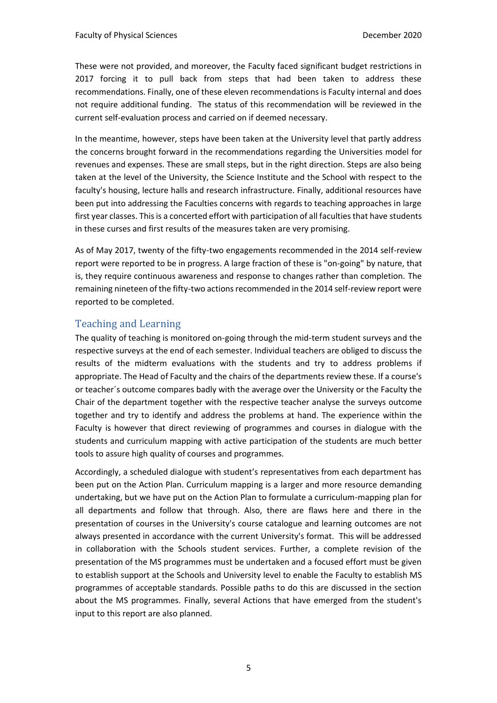These were not provided, and moreover, the Faculty faced significant budget restrictions in 2017 forcing it to pull back from steps that had been taken to address these recommendations. Finally, one of these eleven recommendations is Faculty internal and does not require additional funding. The status of this recommendation will be reviewed in the current self-evaluation process and carried on if deemed necessary.

In the meantime, however, steps have been taken at the University level that partly address the concerns brought forward in the recommendations regarding the Universities model for revenues and expenses. These are small steps, but in the right direction. Steps are also being taken at the level of the University, the Science Institute and the School with respect to the faculty's housing, lecture halls and research infrastructure. Finally, additional resources have been put into addressing the Faculties concerns with regards to teaching approaches in large first year classes. This is a concerted effort with participation of all faculties that have students in these curses and first results of the measures taken are very promising.

As of May 2017, twenty of the fifty-two engagements recommended in the 2014 self-review report were reported to be in progress. A large fraction of these is "on-going" by nature, that is, they require continuous awareness and response to changes rather than completion. The remaining nineteen of the fifty-two actions recommended in the 2014 self-review report were reported to be completed.

#### Teaching and Learning

The quality of teaching is monitored on-going through the mid-term student surveys and the respective surveys at the end of each semester. Individual teachers are obliged to discuss the results of the midterm evaluations with the students and try to address problems if appropriate. The Head of Faculty and the chairs of the departments review these. If a course's or teacher´s outcome compares badly with the average over the University or the Faculty the Chair of the department together with the respective teacher analyse the surveys outcome together and try to identify and address the problems at hand. The experience within the Faculty is however that direct reviewing of programmes and courses in dialogue with the students and curriculum mapping with active participation of the students are much better tools to assure high quality of courses and programmes.

Accordingly, a scheduled dialogue with student's representatives from each department has been put on the Action Plan. Curriculum mapping is a larger and more resource demanding undertaking, but we have put on the Action Plan to formulate a curriculum-mapping plan for all departments and follow that through. Also, there are flaws here and there in the presentation of courses in the University's course catalogue and learning outcomes are not always presented in accordance with the current University's format. This will be addressed in collaboration with the Schools student services. Further, a complete revision of the presentation of the MS programmes must be undertaken and a focused effort must be given to establish support at the Schools and University level to enable the Faculty to establish MS programmes of acceptable standards. Possible paths to do this are discussed in the section about the MS programmes. Finally, several Actions that have emerged from the student's input to this report are also planned.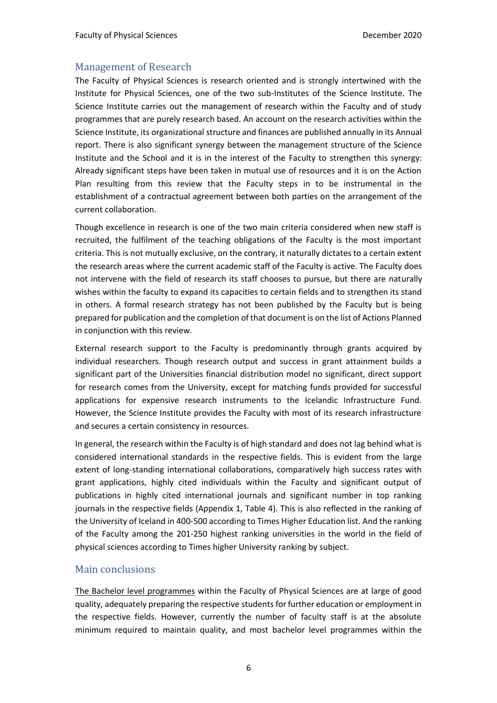#### Management of Research

The Faculty of Physical Sciences is research oriented and is strongly intertwined with the Institute for Physical Sciences, one of the two sub-Institutes of the Science Institute. The Science Institute carries out the management of research within the Faculty and of study programmes that are purely research based. An account on the research activities within the Science Institute, its organizational structure and finances are published annually in its Annual report. There is also significant synergy between the management structure of the Science Institute and the School and it is in the interest of the Faculty to strengthen this synergy: Already significant steps have been taken in mutual use of resources and it is on the Action Plan resulting from this review that the Faculty steps in to be instrumental in the establishment of a contractual agreement between both parties on the arrangement of the current collaboration.

Though excellence in research is one of the two main criteria considered when new staff is recruited, the fulfilment of the teaching obligations of the Faculty is the most important criteria. This is not mutually exclusive, on the contrary, it naturally dictates to a certain extent the research areas where the current academic staff of the Faculty is active. The Faculty does not intervene with the field of research its staff chooses to pursue, but there are naturally wishes within the faculty to expand its capacities to certain fields and to strengthen its stand in others. A formal research strategy has not been published by the Faculty but is being prepared for publication and the completion of that document is on the list of Actions Planned in conjunction with this review.

External research support to the Faculty is predominantly through grants acquired by individual researchers. Though research output and success in grant attainment builds a significant part of the Universities financial distribution model no significant, direct support for research comes from the University, except for matching funds provided for successful applications for expensive research instruments to the Icelandic Infrastructure Fund. However, the Science Institute provides the Faculty with most of its research infrastructure and secures a certain consistency in resources.

In general, the research within the Faculty is of high standard and does not lag behind what is considered international standards in the respective fields. This is evident from the large extent of long-standing international collaborations, comparatively high success rates with grant applications, highly cited individuals within the Faculty and significant output of publications in highly cited international journals and significant number in top ranking journals in the respective fields (Appendix 1, Table 4). This is also reflected in the ranking of the University of Iceland in 400-500 according to Times Higher Education list. And the ranking of the Faculty among the 201-250 highest ranking universities in the world in the field of physical sciences according to Times higher University ranking by subject.

#### Main conclusions

The Bachelor level programmes within the Faculty of Physical Sciences are at large of good quality, adequately preparing the respective students for further education or employment in the respective fields. However, currently the number of faculty staff is at the absolute minimum required to maintain quality, and most bachelor level programmes within the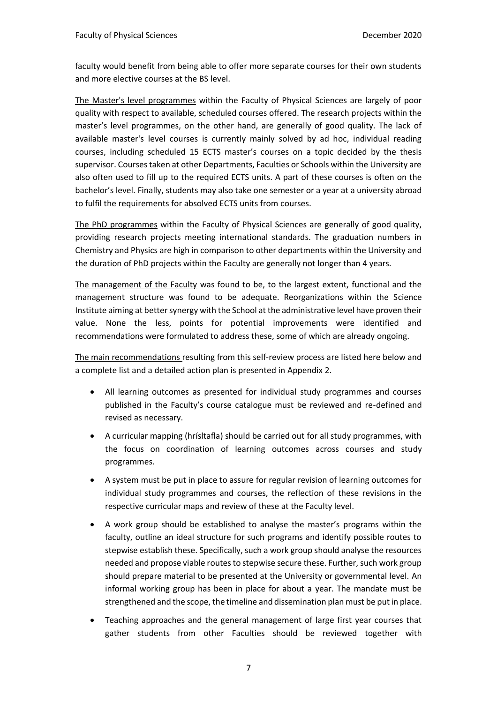faculty would benefit from being able to offer more separate courses for their own students and more elective courses at the BS level.

The Master's level programmes within the Faculty of Physical Sciences are largely of poor quality with respect to available, scheduled courses offered. The research projects within the master's level programmes, on the other hand, are generally of good quality. The lack of available master's level courses is currently mainly solved by ad hoc, individual reading courses, including scheduled 15 ECTS master's courses on a topic decided by the thesis supervisor. Courses taken at other Departments, Faculties or Schools within the University are also often used to fill up to the required ECTS units. A part of these courses is often on the bachelor's level. Finally, students may also take one semester or a year at a university abroad to fulfil the requirements for absolved ECTS units from courses.

The PhD programmes within the Faculty of Physical Sciences are generally of good quality, providing research projects meeting international standards. The graduation numbers in Chemistry and Physics are high in comparison to other departments within the University and the duration of PhD projects within the Faculty are generally not longer than 4 years.

The management of the Faculty was found to be, to the largest extent, functional and the management structure was found to be adequate. Reorganizations within the Science Institute aiming at better synergy with the School at the administrative level have proven their value. None the less, points for potential improvements were identified and recommendations were formulated to address these, some of which are already ongoing.

The main recommendations resulting from this self-review process are listed here below and a complete list and a detailed action plan is presented in Appendix 2.

- All learning outcomes as presented for individual study programmes and courses published in the Faculty's course catalogue must be reviewed and re-defined and revised as necessary.
- A curricular mapping (hrísltafla) should be carried out for all study programmes, with the focus on coordination of learning outcomes across courses and study programmes.
- A system must be put in place to assure for regular revision of learning outcomes for individual study programmes and courses, the reflection of these revisions in the respective curricular maps and review of these at the Faculty level.
- A work group should be established to analyse the master's programs within the faculty, outline an ideal structure for such programs and identify possible routes to stepwise establish these. Specifically, such a work group should analyse the resources needed and propose viable routes to stepwise secure these. Further, such work group should prepare material to be presented at the University or governmental level. An informal working group has been in place for about a year. The mandate must be strengthened and the scope, the timeline and dissemination plan must be put in place.
- Teaching approaches and the general management of large first year courses that gather students from other Faculties should be reviewed together with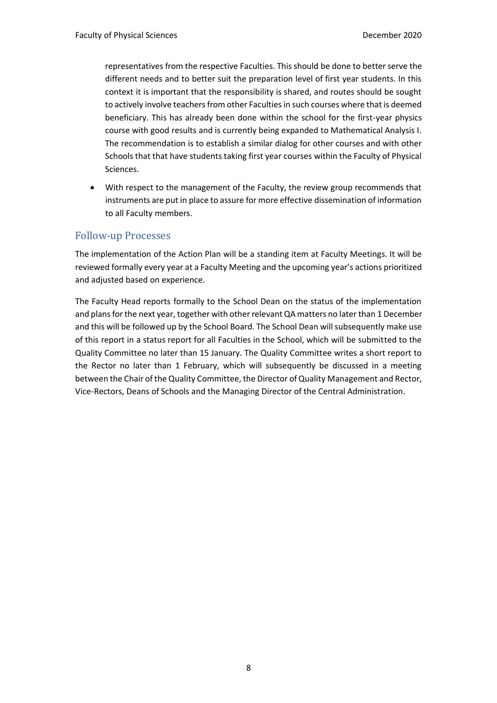representatives from the respective Faculties. This should be done to better serve the different needs and to better suit the preparation level of first year students. In this context it is important that the responsibility is shared, and routes should be sought to actively involve teachers from other Faculties in such courses where that is deemed beneficiary. This has already been done within the school for the first-year physics course with good results and is currently being expanded to Mathematical Analysis I. The recommendation is to establish a similar dialog for other courses and with other Schools that that have students taking first year courses within the Faculty of Physical Sciences.

With respect to the management of the Faculty, the review group recommends that instruments are put in place to assure for more effective dissemination of information to all Faculty members.

#### Follow-up Processes

The implementation of the Action Plan will be a standing item at Faculty Meetings. It will be reviewed formally every year at a Faculty Meeting and the upcoming year's actions prioritized and adjusted based on experience.

The Faculty Head reports formally to the School Dean on the status of the implementation and plans for the next year, together with other relevant QA matters no later than 1 December and this will be followed up by the School Board. The School Dean will subsequently make use of this report in a status report for all Faculties in the School, which will be submitted to the Quality Committee no later than 15 January. The Quality Committee writes a short report to the Rector no later than 1 February, which will subsequently be discussed in a meeting between the Chair of the Quality Committee, the Director of Quality Management and Rector, Vice-Rectors, Deans of Schools and the Managing Director of the Central Administration.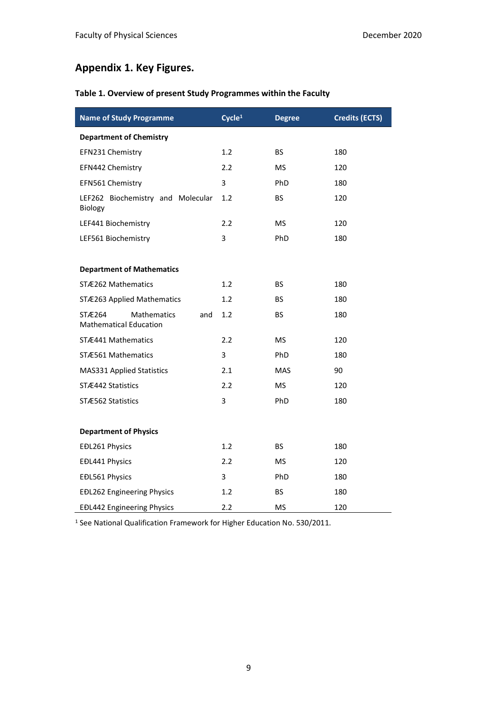## **Appendix 1. Key Figures.**

### **Table 1. Overview of present Study Programmes within the Faculty**

| <b>Name of Study Programme</b>                                       | Cycle <sup>1</sup> | <b>Degree</b> | <b>Credits (ECTS)</b> |
|----------------------------------------------------------------------|--------------------|---------------|-----------------------|
| <b>Department of Chemistry</b>                                       |                    |               |                       |
| EFN231 Chemistry                                                     | $1.2\,$            | BS.           | 180                   |
| EFN442 Chemistry                                                     | 2.2                | MS            | 120                   |
| EFN561 Chemistry                                                     | 3                  | PhD           | 180                   |
| LEF262 Biochemistry and Molecular<br>Biology                         | 1.2                | <b>BS</b>     | 120                   |
| LEF441 Biochemistry                                                  | 2.2                | <b>MS</b>     | 120                   |
| LEF561 Biochemistry                                                  | 3                  | PhD           | 180                   |
|                                                                      |                    |               |                       |
| <b>Department of Mathematics</b>                                     |                    |               |                       |
| STÆ262 Mathematics                                                   | 1.2                | <b>BS</b>     | 180                   |
| STÆ263 Applied Mathematics                                           | 1.2                | <b>BS</b>     | 180                   |
| STÆ264<br><b>Mathematics</b><br>and<br><b>Mathematical Education</b> | 1.2                | <b>BS</b>     | 180                   |
| STÆ441 Mathematics                                                   | 2.2                | <b>MS</b>     | 120                   |
| STÆ561 Mathematics                                                   | 3                  | PhD           | 180                   |
| <b>MAS331 Applied Statistics</b>                                     | 2.1                | <b>MAS</b>    | 90                    |
| STÆ442 Statistics                                                    | 2.2                | <b>MS</b>     | 120                   |
| STÆ562 Statistics                                                    | 3                  | <b>PhD</b>    | 180                   |
|                                                                      |                    |               |                       |
| <b>Department of Physics</b>                                         |                    |               |                       |
| EĐL261 Physics                                                       | 1.2                | <b>BS</b>     | 180                   |
| EĐL441 Physics                                                       | 2.2                | <b>MS</b>     | 120                   |
| EĐL561 Physics                                                       | 3                  | PhD           | 180                   |
| <b>EĐL262 Engineering Physics</b>                                    | 1.2                | <b>BS</b>     | 180                   |
| <b>EĐL442 Engineering Physics</b>                                    | 2.2                | MS            | 120                   |

<sup>1</sup> See National Qualification Framework for Higher Education No. 530/2011.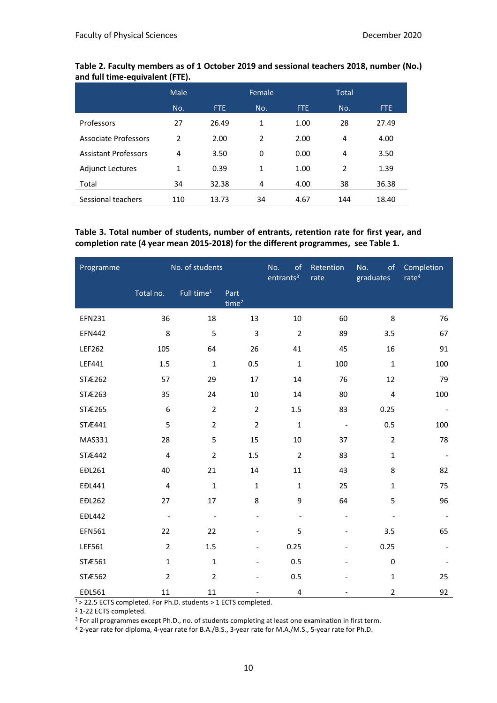|                             | Male           |            | Female |      | <b>Total</b> |            |
|-----------------------------|----------------|------------|--------|------|--------------|------------|
|                             | No.            | <b>FTE</b> | No.    | FTE. | No.          | <b>FTE</b> |
| Professors                  | 27             | 26.49      | 1      | 1.00 | 28           | 27.49      |
| Associate Professors        | $\mathfrak{p}$ | 2.00       | 2      | 2.00 | 4            | 4.00       |
| <b>Assistant Professors</b> | 4              | 3.50       | 0      | 0.00 | 4            | 3.50       |
| <b>Adjunct Lectures</b>     | $\mathbf{1}$   | 0.39       | 1      | 1.00 | 2            | 1.39       |
| Total                       | 34             | 32.38      | 4      | 4.00 | 38           | 36.38      |
| Sessional teachers          | 110            | 13.73      | 34     | 4.67 | 144          | 18.40      |

#### **Table 2. Faculty members as of 1 October 2019 and sessional teachers 2018, number (No.) and full time-equivalent (FTE).**

#### **Table 3. Total number of students, number of entrants, retention rate for first year, and completion rate (4 year mean 2015-2018) for the different programmes, see Table 1.**

| Programme     | No. of students          |                          |                           | No.<br>of<br>entrants <sup>3</sup> | Retention<br>rate        | No.<br>of<br>graduates   | Completion<br>rate <sup>4</sup> |
|---------------|--------------------------|--------------------------|---------------------------|------------------------------------|--------------------------|--------------------------|---------------------------------|
|               | Total no.                | Full time <sup>1</sup>   | Part<br>time <sup>2</sup> |                                    |                          |                          |                                 |
| EFN231        | 36                       | 18                       | 13                        | 10                                 | 60                       | 8                        | 76                              |
| <b>EFN442</b> | 8                        | 5                        | 3                         | $\mathbf 2$                        | 89                       | 3.5                      | 67                              |
| LEF262        | 105                      | 64                       | 26                        | 41                                 | 45                       | 16                       | 91                              |
| LEF441        | 1.5                      | $\mathbf 1$              | 0.5                       | $\mathbf 1$                        | 100                      | $\mathbf 1$              | 100                             |
| STÆ262        | 57                       | 29                       | 17                        | 14                                 | 76                       | 12                       | 79                              |
| STÆ263        | 35                       | 24                       | $10\,$                    | 14                                 | 80                       | $\overline{\mathbf{4}}$  | 100                             |
| STÆ265        | 6                        | $\overline{2}$           | $\overline{2}$            | 1.5                                | 83                       | 0.25                     |                                 |
| STÆ441        | 5                        | $\overline{2}$           | $\mathbf 2$               | $\mathbf 1$                        | $\overline{\phantom{a}}$ | 0.5                      | 100                             |
| MAS331        | 28                       | 5                        | 15                        | 10                                 | 37                       | $\overline{2}$           | 78                              |
| STÆ442        | $\pmb{4}$                | $\overline{2}$           | 1.5                       | $\overline{2}$                     | 83                       | $\mathbf{1}$             |                                 |
| EĐL261        | 40                       | 21                       | 14                        | 11                                 | 43                       | 8                        | 82                              |
| EĐL441        | $\pmb{4}$                | $\mathbf{1}$             | $\mathbf 1$               | $\mathbf 1$                        | 25                       | $\mathbf{1}$             | 75                              |
| <b>EĐL262</b> | 27                       | 17                       | 8                         | 9                                  | 64                       | 5                        | 96                              |
| <b>EĐL442</b> | $\overline{\phantom{a}}$ | $\overline{\phantom{a}}$ | $\overline{\phantom{0}}$  | $\overline{\phantom{a}}$           | $\overline{\phantom{a}}$ | $\overline{\phantom{a}}$ | $\overline{\phantom{a}}$        |
| EFN561        | 22                       | 22                       | $\overline{\phantom{0}}$  | 5                                  |                          | 3.5                      | 65                              |
| LEF561        | $\overline{2}$           | 1.5                      | $\overline{\phantom{0}}$  | 0.25                               |                          | 0.25                     |                                 |
| STÆ561        | $\mathbf 1$              | $\mathbf{1}$             | $\frac{1}{2}$             | 0.5                                |                          | $\pmb{0}$                |                                 |
| STÆ562        | $\overline{2}$           | $\overline{2}$           |                           | 0.5                                |                          | $\mathbf 1$              | 25                              |
| EĐL561        | 11                       | 11                       |                           | $\pmb{4}$                          |                          | $\overline{2}$           | 92                              |

<sup>1</sup>> 22.5 ECTS completed. For Ph.D. students > 1 ECTS completed.

<sup>2</sup> 1-22 ECTS completed.

<sup>3</sup> For all programmes except Ph.D., no. of students completing at least one examination in first term.

<sup>4</sup> 2-year rate for diploma, 4-year rate for B.A./B.S., 3-year rate for M.A./M.S., 5-year rate for Ph.D.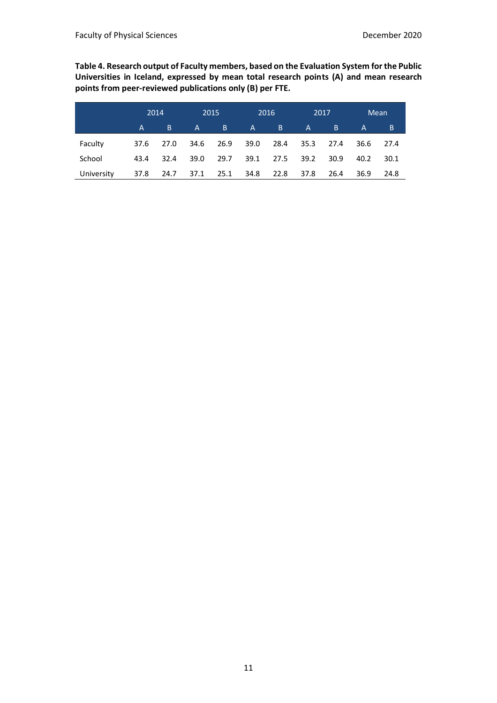**Table 4. Research output of Faculty members, based on the Evaluation System for the Public Universities in Iceland, expressed by mean total research points (A) and mean research points from peer-reviewed publications only (B) per FTE.**

|            | 2014 |      | 2015         |      |              | 2016 | 2017 |      | Mean         |      |
|------------|------|------|--------------|------|--------------|------|------|------|--------------|------|
|            | A    | B    | $\mathsf{A}$ | B.   | $\mathsf{A}$ | B.   | 'Ai  | 'B.  | $\mathsf{A}$ | B,   |
| Faculty    | 37.6 | 27.0 | 34.6         | 26.9 | 39.0         | 28.4 | 35.3 | 27.4 | 36.6         | 27.4 |
| School     | 43.4 | 32.4 | 39.0         | 29.7 | 39.1         | 27.5 | 39.2 | 30.9 | 40.2         | 30.1 |
| University | 37.8 | 24.7 | 37.1         | 25.1 | 34.8         | 22.8 | 37.8 | 26.4 | 36.9         | 24.8 |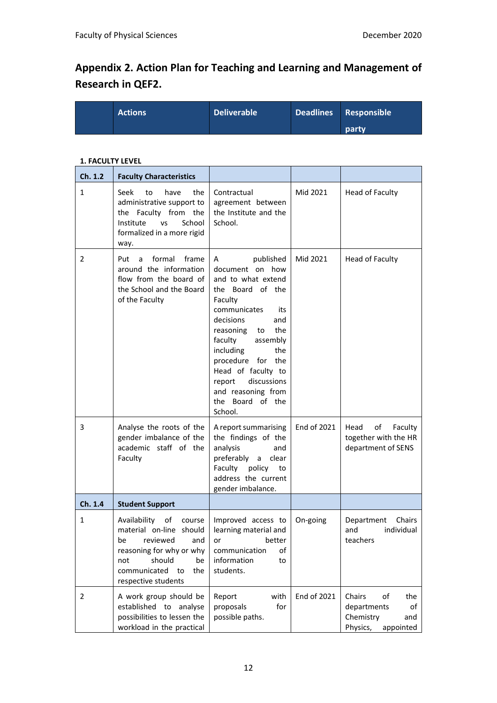# **Appendix 2. Action Plan for Teaching and Learning and Management of Research in QEF2.**

| <b>Actions</b> | <b>Deliverable</b> | Deadlines Responsible |
|----------------|--------------------|-----------------------|
|                |                    | party                 |

#### **1. FACULTY LEVEL**

| Ch. 1.2        | <b>Faculty Characteristics</b>                                                                                                                                              |                                                                                                                                                                                                                                                                                                                              |             |                                                                                       |
|----------------|-----------------------------------------------------------------------------------------------------------------------------------------------------------------------------|------------------------------------------------------------------------------------------------------------------------------------------------------------------------------------------------------------------------------------------------------------------------------------------------------------------------------|-------------|---------------------------------------------------------------------------------------|
| $\mathbf{1}$   | Seek<br>have<br>the<br>to<br>administrative support to<br>the Faculty from the<br>Institute<br>School<br><b>VS</b><br>formalized in a more rigid<br>way.                    | Contractual<br>agreement between<br>the Institute and the<br>School.                                                                                                                                                                                                                                                         | Mid 2021    | <b>Head of Faculty</b>                                                                |
| 2              | formal frame<br>Put a<br>around the information<br>flow from the board of<br>the School and the Board<br>of the Faculty                                                     | A<br>published<br>document on how<br>and to what extend<br>the Board of the<br>Faculty<br>communicates<br>its<br>decisions<br>and<br>the<br>reasoning to<br>faculty<br>assembly<br>including<br>the<br>procedure for the<br>Head of faculty to<br>discussions<br>report<br>and reasoning from<br>the Board of the<br>School. | Mid 2021    | Head of Faculty                                                                       |
| 3              | Analyse the roots of the<br>gender imbalance of the<br>academic staff of the<br>Faculty                                                                                     | A report summarising<br>the findings of the<br>analysis<br>and<br>preferably a clear<br>Faculty policy<br>to<br>address the current<br>gender imbalance.                                                                                                                                                                     | End of 2021 | of<br>Head<br>Faculty<br>together with the HR<br>department of SENS                   |
| Ch. 1.4        | <b>Student Support</b>                                                                                                                                                      |                                                                                                                                                                                                                                                                                                                              |             |                                                                                       |
| $\mathbf{1}$   | Availability of<br>course<br>material on-line should<br>be reviewed and<br>reasoning for why or why<br>should<br>be<br>not<br>communicated to<br>the<br>respective students | Improved access to<br>learning material and<br>or better<br>of<br>communication<br>information<br>to<br>students.                                                                                                                                                                                                            | On-going    | Department Chairs<br>individual<br>and<br>teachers                                    |
| $\overline{2}$ | A work group should be<br>established to analyse<br>possibilities to lessen the<br>workload in the practical                                                                | Report<br>with<br>for<br>proposals<br>possible paths.                                                                                                                                                                                                                                                                        | End of 2021 | Chairs<br>of<br>the<br>departments<br>of<br>Chemistry<br>and<br>Physics,<br>appointed |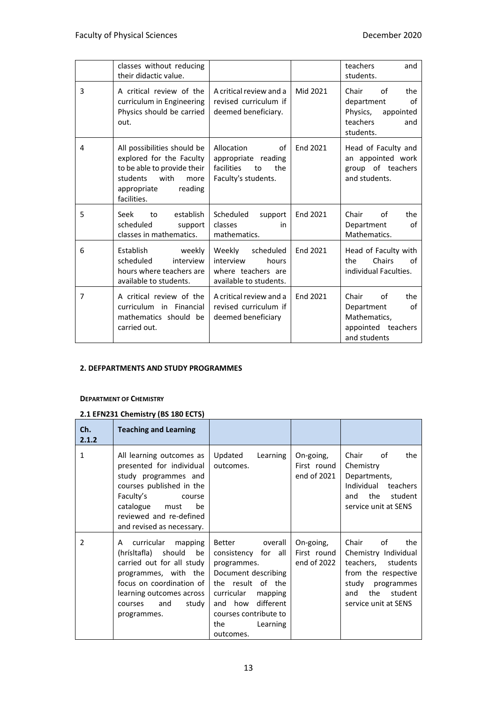|                | classes without reducing<br>their didactic value.                                                                                                           |                                                                                           |          | teachers<br>and<br>students.                                                                    |
|----------------|-------------------------------------------------------------------------------------------------------------------------------------------------------------|-------------------------------------------------------------------------------------------|----------|-------------------------------------------------------------------------------------------------|
| 3              | A critical review of the<br>curriculum in Engineering<br>Physics should be carried<br>out.                                                                  | A critical review and a<br>revised curriculum if<br>deemed beneficiary.                   | Mid 2021 | Chair<br>of<br>the<br>department<br>of<br>Physics,<br>appointed<br>teachers<br>and<br>students. |
| 4              | All possibilities should be<br>explored for the Faculty<br>to be able to provide their<br>students<br>with<br>more<br>reading<br>appropriate<br>facilities. | Allocation<br>οf<br>appropriate reading<br>facilities<br>the<br>to<br>Faculty's students. | End 2021 | Head of Faculty and<br>an appointed work<br>group of teachers<br>and students.                  |
| 5              | establish<br>Seek<br>to<br>scheduled<br>support<br>classes in mathematics.                                                                                  | Scheduled<br>support<br>classes<br>in<br>mathematics.                                     | End 2021 | Chair<br>Ωf<br>the<br>Department<br>οf<br>Mathematics.                                          |
| 6              | <b>Establish</b><br>weekly<br>scheduled<br>interview<br>hours where teachers are<br>available to students.                                                  | Weekly<br>scheduled<br>interview<br>hours<br>where teachers are<br>available to students. | End 2021 | Head of Faculty with<br>Chairs<br>the<br>οf<br>individual Faculties.                            |
| $\overline{7}$ | A critical review of the<br>curriculum in Financial<br>mathematics should be<br>carried out.                                                                | A critical review and a<br>revised curriculum if<br>deemed beneficiary                    | End 2021 | of<br>Chair<br>the<br>οf<br>Department<br>Mathematics,<br>appointed teachers<br>and students    |

#### **2. DEFPARTMENTS AND STUDY PROGRAMMES**

#### **DEPARTMENT OF CHEMISTRY**

#### **2.1 EFN231 Chemistry (BS 180 ECTS)**

| Ch.<br>2.1.2  | <b>Teaching and Learning</b>                                                                                                                                                                                       |                                                                                                                                                                                                            |                                         |                                                                                                                                                              |
|---------------|--------------------------------------------------------------------------------------------------------------------------------------------------------------------------------------------------------------------|------------------------------------------------------------------------------------------------------------------------------------------------------------------------------------------------------------|-----------------------------------------|--------------------------------------------------------------------------------------------------------------------------------------------------------------|
| $\mathbf{1}$  | All learning outcomes as<br>presented for individual<br>study programmes and<br>courses published in the<br>Faculty's<br>course<br>catalogue<br>be<br>must<br>reviewed and re-defined<br>and revised as necessary. | Updated<br>Learning<br>outcomes.                                                                                                                                                                           | On-going,<br>First round<br>end of 2021 | Chair<br>οf<br>the<br>Chemistry<br>Departments,<br>Individual<br>teachers<br>the<br>student<br>and<br>service unit at SENS                                   |
| $\mathcal{P}$ | curricular<br>mapping<br>A<br>(hrísltafla) should<br>be<br>carried out for all study<br>programmes, with the<br>focus on coordination of<br>learning outcomes across<br>study<br>and<br>courses<br>programmes.     | Better<br>overall<br>consistency for all<br>programmes.<br>Document describing<br>the result of the<br>curricular<br>mapping<br>and how different<br>courses contribute to<br>Learning<br>the<br>outcomes. | On-going,<br>First round<br>end of 2022 | Chair<br>οf<br>the<br>Chemistry Individual<br>teachers, students<br>from the respective<br>study programmes<br>the<br>student<br>and<br>service unit at SENS |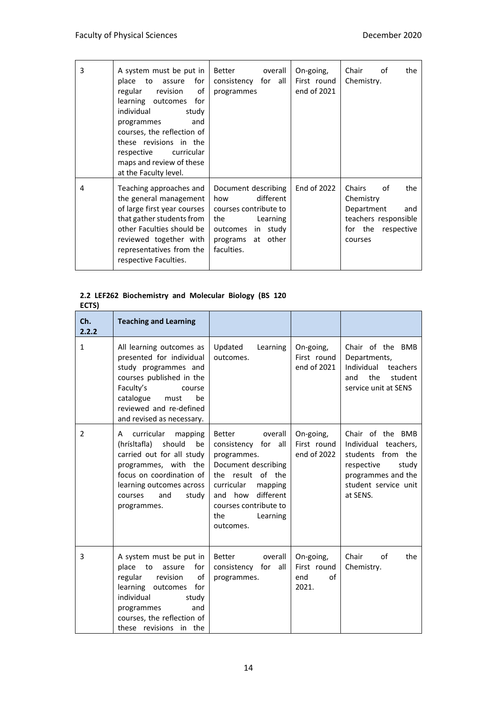| 3 | A system must be put in<br>place<br>to<br>for<br>assure<br>of<br>regular<br>revision<br>learning outcomes<br>for<br>individual<br>study<br>and<br>programmes<br>courses, the reflection of<br>these revisions in the<br>respective<br>curricular<br>maps and review of these<br>at the Faculty level. | Better<br>overall<br>consistency for all<br>programmes                                                                                      | On-going,<br>First round<br>end of 2021 | Chair<br>the<br>of<br>Chemistry.                                                                               |
|---|-------------------------------------------------------------------------------------------------------------------------------------------------------------------------------------------------------------------------------------------------------------------------------------------------------|---------------------------------------------------------------------------------------------------------------------------------------------|-----------------------------------------|----------------------------------------------------------------------------------------------------------------|
| 4 | Teaching approaches and<br>the general management<br>of large first year courses<br>that gather students from<br>other Faculties should be<br>reviewed together with<br>representatives from the<br>respective Faculties.                                                                             | Document describing<br>different<br>how<br>courses contribute to<br>the<br>Learning<br>outcomes in study<br>programs at other<br>faculties. | End of 2022                             | Chairs<br>of<br>the<br>Chemistry<br>Department<br>and<br>teachers responsible<br>for the respective<br>courses |

#### **2.2 LEF262 Biochemistry and Molecular Biology (BS 120 ECTS)**

| Ch.<br>2.2.2 | <b>Teaching and Learning</b>                                                                                                                                                                                         |                                                                                                                                                                                                                   |                                                |                                                                                                                                                |
|--------------|----------------------------------------------------------------------------------------------------------------------------------------------------------------------------------------------------------------------|-------------------------------------------------------------------------------------------------------------------------------------------------------------------------------------------------------------------|------------------------------------------------|------------------------------------------------------------------------------------------------------------------------------------------------|
| $\mathbf{1}$ | All learning outcomes as<br>presented for individual<br>study programmes and<br>courses published in the<br>Faculty's<br>course<br>catalogue<br>be<br>must<br>reviewed and re-defined<br>and revised as necessary.   | Updated<br>Learning<br>outcomes.                                                                                                                                                                                  | On-going,<br>First round<br>end of 2021        | Chair of the BMB<br>Departments,<br>Individual<br>teachers<br>the<br>student<br>and<br>service unit at SENS                                    |
| 2            | curricular<br>mapping<br>A<br>(hrísltafla)<br>should<br>be<br>carried out for all study<br>programmes, with the<br>focus on coordination of<br>learning outcomes across<br>and<br>study<br>courses<br>programmes.    | <b>Better</b><br>overall<br>consistency for all<br>programmes.<br>Document describing<br>the result of the<br>curricular<br>mapping<br>and how different<br>courses contribute to<br>Learning<br>the<br>outcomes. | On-going,<br>First round<br>end of 2022        | Chair of the BMB<br>Individual teachers,<br>students from the<br>respective<br>study<br>programmes and the<br>student service unit<br>at SENS. |
| 3            | A system must be put in<br>place<br>to<br>assure<br>for<br>regular<br>revision<br>of<br>learning outcomes<br>for<br>individual<br>study<br>and<br>programmes<br>courses, the reflection of<br>these revisions in the | <b>Better</b><br>overall<br>consistency for all<br>programmes.                                                                                                                                                    | On-going,<br>First round<br>of<br>end<br>2021. | Chair<br>Ωf<br>the<br>Chemistry.                                                                                                               |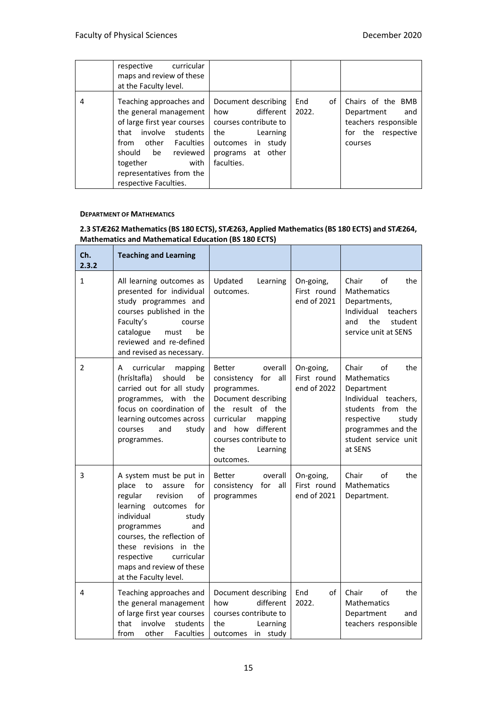|   | respective curricular<br>maps and review of these<br>at the Faculty level.                                                                                                                                                                      |                                                                                                                                                   |                    |                                                                                                 |
|---|-------------------------------------------------------------------------------------------------------------------------------------------------------------------------------------------------------------------------------------------------|---------------------------------------------------------------------------------------------------------------------------------------------------|--------------------|-------------------------------------------------------------------------------------------------|
| 4 | Teaching approaches and<br>the general management<br>of large first year courses<br>involve<br>students<br>that<br>other Faculties<br>from<br>should<br>reviewed<br>be<br>together<br>with<br>representatives from the<br>respective Faculties. | Document describing<br>different<br>how<br>courses contribute to<br>the<br>Learning<br>outcomes<br>in<br>studv<br>programs at other<br>faculties. | End<br>of<br>2022. | Chairs of the BMB<br>Department<br>and<br>teachers responsible<br>for the respective<br>courses |

#### **DEPARTMENT OF MATHEMATICS**

#### **2.3 STÆ262 Mathematics (BS 180 ECTS), STÆ263, Applied Mathematics (BS 180 ECTS) and STÆ264, Mathematics and Mathematical Education (BS 180 ECTS)**

| Ch.<br>2.3.2 | <b>Teaching and Learning</b>                                                                                                                                                                                                                                                                          |                                                                                                                                                                                                                      |                                         |                                                                                                                                                                                     |
|--------------|-------------------------------------------------------------------------------------------------------------------------------------------------------------------------------------------------------------------------------------------------------------------------------------------------------|----------------------------------------------------------------------------------------------------------------------------------------------------------------------------------------------------------------------|-----------------------------------------|-------------------------------------------------------------------------------------------------------------------------------------------------------------------------------------|
| 1            | All learning outcomes as<br>presented for individual<br>study programmes and<br>courses published in the<br>Faculty's<br>course<br>catalogue<br>be<br>must<br>reviewed and re-defined<br>and revised as necessary.                                                                                    | Updated<br>Learning<br>outcomes.                                                                                                                                                                                     | On-going,<br>First round<br>end of 2021 | the<br>Chair<br>of<br><b>Mathematics</b><br>Departments,<br>Individual<br>teachers<br>the<br>and<br>student<br>service unit at SENS                                                 |
| 2            | curricular<br>A<br>mapping<br>(hrísltafla)<br>should<br>be<br>carried out for all study<br>programmes, with the<br>focus on coordination of<br>learning outcomes across<br>courses<br>and<br>study<br>programmes.                                                                                     | <b>Better</b><br>overall<br>consistency for all<br>programmes.<br>Document describing<br>the result of the<br>curricular<br>mapping<br>different<br>and how<br>courses contribute to<br>the<br>Learning<br>outcomes. | On-going,<br>First round<br>end of 2022 | Chair<br>of<br>the<br><b>Mathematics</b><br>Department<br>Individual teachers,<br>students from the<br>study<br>respective<br>programmes and the<br>student service unit<br>at SENS |
| 3            | A system must be put in<br>place<br>to<br>assure<br>for<br>of<br>regular<br>revision<br>learning outcomes<br>for<br>individual<br>study<br>and<br>programmes<br>courses, the reflection of<br>these revisions in the<br>respective<br>curricular<br>maps and review of these<br>at the Faculty level. | Better<br>overall<br>all<br>consistency<br>for<br>programmes                                                                                                                                                         | On-going,<br>First round<br>end of 2021 | the<br>Chair<br>οf<br><b>Mathematics</b><br>Department.                                                                                                                             |
| 4            | Teaching approaches and<br>the general management<br>of large first year courses<br>involve<br>that<br>students<br>other<br><b>Faculties</b><br>from                                                                                                                                                  | Document describing<br>different<br>how<br>courses contribute to<br>the<br>Learning<br>in study<br>outcomes                                                                                                          | οf<br>End<br>2022.                      | the<br>Chair<br>οf<br><b>Mathematics</b><br>Department<br>and<br>teachers responsible                                                                                               |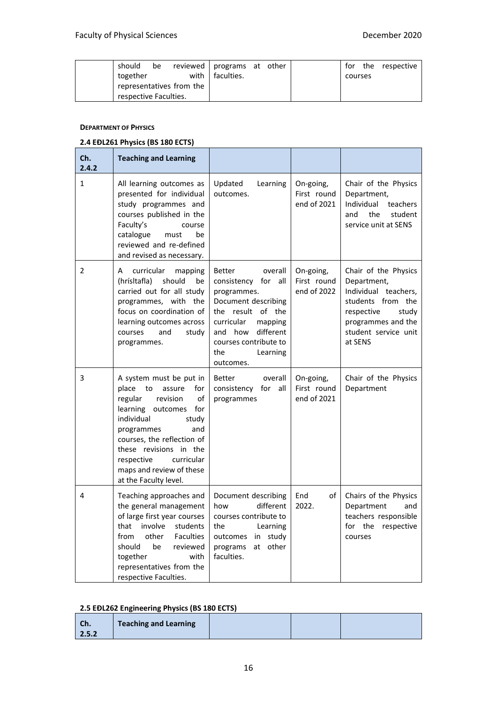| should                | be |                          | reviewed   programs at other |  |         | for the respective |
|-----------------------|----|--------------------------|------------------------------|--|---------|--------------------|
| together              |    |                          | with I faculties.            |  | courses |                    |
|                       |    | representatives from the |                              |  |         |                    |
| respective Faculties. |    |                          |                              |  |         |                    |

#### **DEPARTMENT OF PHYSICS**

#### **2.4 EÐL261 Physics (BS 180 ECTS)**

| Ch.<br>2.4.2   | <b>Teaching and Learning</b>                                                                                                                                                                                                                                                                          |                                                                                                                                                                                                                      |                                         |                                                                                                                                                                  |
|----------------|-------------------------------------------------------------------------------------------------------------------------------------------------------------------------------------------------------------------------------------------------------------------------------------------------------|----------------------------------------------------------------------------------------------------------------------------------------------------------------------------------------------------------------------|-----------------------------------------|------------------------------------------------------------------------------------------------------------------------------------------------------------------|
| $\mathbf{1}$   | All learning outcomes as<br>presented for individual<br>study programmes and<br>courses published in the<br>Faculty's<br>course<br>catalogue<br>must<br>be<br>reviewed and re-defined<br>and revised as necessary.                                                                                    | Updated<br>Learning<br>outcomes.                                                                                                                                                                                     | On-going,<br>First round<br>end of 2021 | Chair of the Physics<br>Department,<br>Individual<br>teachers<br>and<br>the<br>student<br>service unit at SENS                                                   |
| $\overline{2}$ | curricular<br>A<br>mapping<br>(hrísltafla)<br>should<br>be<br>carried out for all study<br>programmes, with the<br>focus on coordination of<br>learning outcomes across<br>and<br>courses<br>study<br>programmes.                                                                                     | <b>Better</b><br>overall<br>consistency for all<br>programmes.<br>Document describing<br>the result of the<br>curricular<br>mapping<br>different<br>and how<br>courses contribute to<br>the<br>Learning<br>outcomes. | On-going,<br>First round<br>end of 2022 | Chair of the Physics<br>Department,<br>Individual teachers,<br>students from the<br>respective<br>study<br>programmes and the<br>student service unit<br>at SENS |
| 3              | A system must be put in<br>place<br>to<br>assure<br>for<br>of<br>regular<br>revision<br>learning outcomes<br>for<br>individual<br>study<br>programmes<br>and<br>courses, the reflection of<br>these revisions in the<br>respective<br>curricular<br>maps and review of these<br>at the Faculty level. | <b>Better</b><br>overall<br>all<br>consistency for<br>programmes                                                                                                                                                     | On-going,<br>First round<br>end of 2021 | Chair of the Physics<br>Department                                                                                                                               |
| 4              | Teaching approaches and<br>the general management<br>of large first year courses<br>that<br>involve<br>students<br>other<br>from<br><b>Faculties</b><br>should<br>be<br>reviewed<br>together<br>with<br>representatives from the<br>respective Faculties.                                             | Document describing<br>different<br>how<br>courses contribute to<br>the<br>Learning<br>in study<br>outcomes<br>other<br>programs<br>at<br>faculties.                                                                 | End<br>of<br>2022.                      | Chairs of the Physics<br>Department<br>and<br>teachers responsible<br>for the respective<br>courses                                                              |

#### **2.5 EÐL262 Engineering Physics (BS 180 ECTS)**

| Ch.   | <b>Teaching and Learning</b> |  |  |
|-------|------------------------------|--|--|
| 2.5.2 |                              |  |  |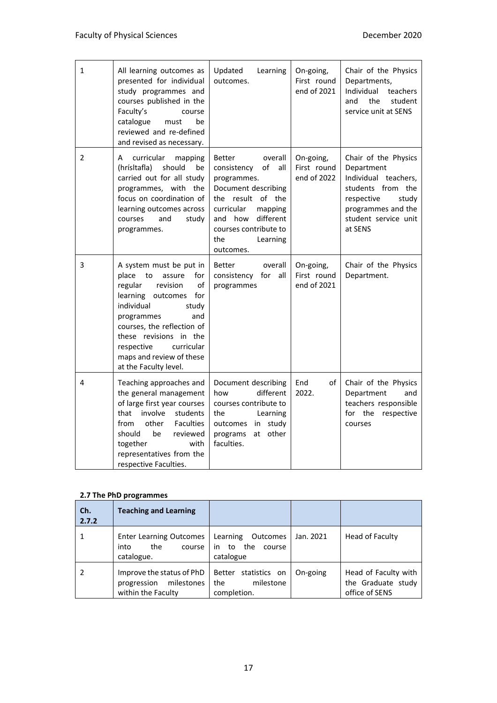| $\mathbf{1}$ | All learning outcomes as<br>presented for individual<br>study programmes and<br>courses published in the<br>Faculty's<br>course<br>catalogue<br>must<br>be<br>reviewed and re-defined<br>and revised as necessary.                                                                                    | Updated<br>Learning<br>outcomes.                                                                                                                                                                                          | On-going,<br>First round<br>end of 2021 | Chair of the Physics<br>Departments,<br>Individual<br>teachers<br>and<br>the<br>student<br>service unit at SENS                                                 |
|--------------|-------------------------------------------------------------------------------------------------------------------------------------------------------------------------------------------------------------------------------------------------------------------------------------------------------|---------------------------------------------------------------------------------------------------------------------------------------------------------------------------------------------------------------------------|-----------------------------------------|-----------------------------------------------------------------------------------------------------------------------------------------------------------------|
| 2            | curricular<br>mapping<br>A<br>(hrísltafla)<br>should<br>be<br>carried out for all study<br>programmes, with the<br>focus on coordination of<br>learning outcomes across<br>courses<br>and<br>study<br>programmes.                                                                                     | <b>Better</b><br>overall<br>of<br>consistency<br>all<br>programmes.<br>Document describing<br>the result of the<br>curricular<br>mapping<br>different<br>and how<br>courses contribute to<br>the<br>Learning<br>outcomes. | On-going,<br>First round<br>end of 2022 | Chair of the Physics<br>Department<br>Individual teachers,<br>students from the<br>respective<br>study<br>programmes and the<br>student service unit<br>at SENS |
| 3            | A system must be put in<br>place<br>assure<br>to<br>for<br>regular<br>revision<br>of<br>for<br>learning outcomes<br>individual<br>study<br>and<br>programmes<br>courses, the reflection of<br>these revisions in the<br>respective<br>curricular<br>maps and review of these<br>at the Faculty level. | <b>Better</b><br>overall<br>consistency for<br>all<br>programmes                                                                                                                                                          | On-going,<br>First round<br>end of 2021 | Chair of the Physics<br>Department.                                                                                                                             |
| 4            | Teaching approaches and<br>the general management<br>of large first year courses<br>that<br>involve<br>students<br>other<br><b>Faculties</b><br>from<br>should<br>be<br>reviewed<br>together<br>with<br>representatives from the<br>respective Faculties.                                             | Document describing<br>different<br>how<br>courses contribute to<br>the<br>Learning<br>outcomes in<br>study<br>other<br>programs<br>at<br>faculties.                                                                      | End<br>of<br>2022.                      | Chair of the Physics<br>Department<br>and<br>teachers responsible<br>for the<br>respective<br>courses                                                           |

#### **2.7 The PhD programmes**

| Ch.<br>2.7.2 | <b>Teaching and Learning</b>                                                 |                                                                 |           |                                                              |
|--------------|------------------------------------------------------------------------------|-----------------------------------------------------------------|-----------|--------------------------------------------------------------|
|              | <b>Enter Learning Outcomes</b><br>the<br>into<br>course<br>catalogue.        | Learning<br>Outcomes<br>the<br>to<br>course<br>in.<br>catalogue | Jan. 2021 | Head of Faculty                                              |
|              | Improve the status of PhD<br>milestones<br>progression<br>within the Faculty | Better<br>statistics on<br>milestone<br>the<br>completion.      | On-going  | Head of Faculty with<br>the Graduate study<br>office of SENS |